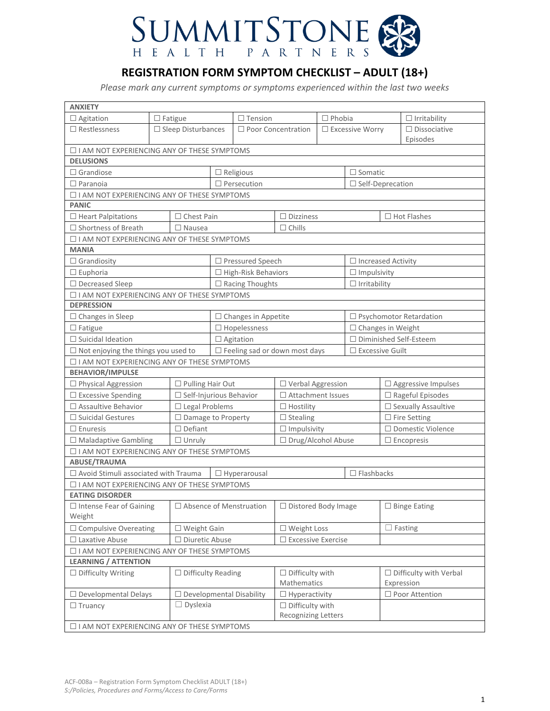

# **REGISTRATION FORM SYMPTOM CHECKLIST – ADULT (18+)**

*Please mark any current symptoms or symptoms experienced within the last two weeks*

| <b>ANXIETY</b>                                |  |                                                        |                  |                                       |                            |  |                           |                                 |                                |
|-----------------------------------------------|--|--------------------------------------------------------|------------------|---------------------------------------|----------------------------|--|---------------------------|---------------------------------|--------------------------------|
| $\Box$ Agitation                              |  | $\Box$ Fatigue                                         |                  | $\Box$ Tension                        | $\Box$ Phobia              |  |                           |                                 | $\Box$ Irritability            |
| $\Box$ Restlessness                           |  | $\Box$ Sleep Disturbances<br>$\Box$ Poor Concentration |                  |                                       | $\square$ Excessive Worry  |  |                           | $\Box$ Dissociative<br>Episodes |                                |
| □ I AM NOT EXPERIENCING ANY OF THESE SYMPTOMS |  |                                                        |                  |                                       |                            |  |                           |                                 |                                |
| <b>DELUSIONS</b>                              |  |                                                        |                  |                                       |                            |  |                           |                                 |                                |
| $\Box$ Grandiose                              |  |                                                        |                  | $\Box$ Religious                      |                            |  | $\Box$ Somatic            |                                 |                                |
| $\Box$ Paranoia                               |  |                                                        |                  | $\Box$ Persecution                    | $\Box$ Self-Deprecation    |  |                           |                                 |                                |
| □ I AM NOT EXPERIENCING ANY OF THESE SYMPTOMS |  |                                                        |                  |                                       |                            |  |                           |                                 |                                |
| <b>PANIC</b>                                  |  |                                                        |                  |                                       |                            |  |                           |                                 |                                |
| $\Box$ Heart Palpitations                     |  | $\Box$ Chest Pain                                      |                  |                                       | $\Box$ Dizziness           |  |                           |                                 | $\Box$ Hot Flashes             |
| $\Box$ Shortness of Breath                    |  | $\Box$ Nausea                                          |                  |                                       | $\Box$ Chills              |  |                           |                                 |                                |
| □ I AM NOT EXPERIENCING ANY OF THESE SYMPTOMS |  |                                                        |                  |                                       |                            |  |                           |                                 |                                |
| <b>MANIA</b>                                  |  |                                                        |                  |                                       |                            |  |                           |                                 |                                |
| $\Box$ Grandiosity                            |  |                                                        |                  | $\Box$ Pressured Speech               |                            |  | $\Box$ Increased Activity |                                 |                                |
| $\Box$ Euphoria                               |  |                                                        |                  | $\Box$ High-Risk Behaviors            |                            |  | $\Box$ Impulsivity        |                                 |                                |
| □ Decreased Sleep                             |  |                                                        |                  | $\Box$ Racing Thoughts                |                            |  | $\Box$ Irritability       |                                 |                                |
| □ I AM NOT EXPERIENCING ANY OF THESE SYMPTOMS |  |                                                        |                  |                                       |                            |  |                           |                                 |                                |
| <b>DEPRESSION</b>                             |  |                                                        |                  |                                       |                            |  |                           |                                 |                                |
| $\Box$ Changes in Sleep                       |  |                                                        |                  | $\Box$ Changes in Appetite            |                            |  |                           |                                 | $\Box$ Psychomotor Retardation |
| $\Box$ Fatigue                                |  |                                                        |                  | $\Box$ Hopelessness                   |                            |  | $\Box$ Changes in Weight  |                                 |                                |
| $\Box$ Suicidal Ideation                      |  |                                                        | $\Box$ Agitation |                                       | □ Diminished Self-Esteem   |  |                           |                                 |                                |
| $\Box$ Not enjoying the things you used to    |  |                                                        |                  | $\Box$ Feeling sad or down most days  |                            |  | $\square$ Excessive Guilt |                                 |                                |
| □ I AM NOT EXPERIENCING ANY OF THESE SYMPTOMS |  |                                                        |                  |                                       |                            |  |                           |                                 |                                |
| <b>BEHAVIOR/IMPULSE</b>                       |  |                                                        |                  |                                       |                            |  |                           |                                 |                                |
| $\Box$ Physical Aggression                    |  | $\Box$ Pulling Hair Out                                |                  |                                       | □ Verbal Aggression        |  |                           |                                 | $\Box$ Aggressive Impulses     |
| $\Box$ Excessive Spending                     |  | $\Box$ Self-Injurious Behavior                         |                  |                                       | $\Box$ Attachment Issues   |  |                           |                                 | $\Box$ Rageful Episodes        |
| □ Assaultive Behavior                         |  | $\square$ Legal Problems                               |                  | $\Box$ Hostility                      |                            |  |                           | $\Box$ Sexually Assaultive      |                                |
| $\Box$ Suicidal Gestures                      |  | $\Box$ Damage to Property                              |                  |                                       | $\Box$ Stealing            |  |                           |                                 | $\square$ Fire Setting         |
| $\Box$ Enuresis                               |  | $\Box$ Defiant                                         |                  |                                       | $\Box$ Impulsivity         |  |                           |                                 | $\Box$ Domestic Violence       |
| $\Box$ Maladaptive Gambling                   |  | $\Box$ Unruly                                          |                  |                                       | □ Drug/Alcohol Abuse       |  |                           |                                 | $\Box$ Encopresis              |
| □ I AM NOT EXPERIENCING ANY OF THESE SYMPTOMS |  |                                                        |                  |                                       |                            |  |                           |                                 |                                |
| <b>ABUSE/TRAUMA</b>                           |  |                                                        |                  |                                       |                            |  |                           |                                 |                                |
| $\Box$ Avoid Stimuli associated with Trauma   |  |                                                        |                  | $\Box$ Hyperarousal                   |                            |  | $\Box$ Flashbacks         |                                 |                                |
| □ I AM NOT EXPERIENCING ANY OF THESE SYMPTOMS |  |                                                        |                  |                                       |                            |  |                           |                                 |                                |
| <b>EATING DISORDER</b>                        |  |                                                        |                  |                                       |                            |  |                           |                                 |                                |
| $\Box$ Intense Fear of Gaining                |  |                                                        |                  | $\Box$ Absence of Menstruation        | $\Box$ Distored Body Image |  |                           |                                 | $\Box$ Binge Eating            |
| Weight                                        |  |                                                        |                  |                                       |                            |  |                           |                                 |                                |
| $\Box$ Compulsive Overeating                  |  | $\Box$ Weight Gain                                     |                  | □ Weight Loss                         |                            |  | $\Box$ Fasting            |                                 |                                |
| $\Box$ Laxative Abuse                         |  | $\Box$ Diuretic Abuse                                  |                  | $\Box$ Excessive Exercise             |                            |  |                           |                                 |                                |
| □ I AM NOT EXPERIENCING ANY OF THESE SYMPTOMS |  |                                                        |                  |                                       |                            |  |                           |                                 |                                |
| <b>LEARNING / ATTENTION</b>                   |  |                                                        |                  |                                       |                            |  |                           |                                 |                                |
| □ Difficulty Writing                          |  | $\Box$ Difficulty Reading                              |                  | $\Box$ Difficulty with<br>Mathematics |                            |  | Expression                | $\Box$ Difficulty with Verbal   |                                |
| $\Box$ Developmental Delays                   |  | $\Box$ Developmental Disability                        |                  |                                       | $\Box$ Hyperactivity       |  |                           |                                 | □ Poor Attention               |
| $\Box$ Truancy                                |  | $\Box$ Dyslexia                                        |                  |                                       | $\Box$ Difficulty with     |  |                           |                                 |                                |
|                                               |  |                                                        |                  |                                       | Recognizing Letters        |  |                           |                                 |                                |
| □ I AM NOT EXPERIENCING ANY OF THESE SYMPTOMS |  |                                                        |                  |                                       |                            |  |                           |                                 |                                |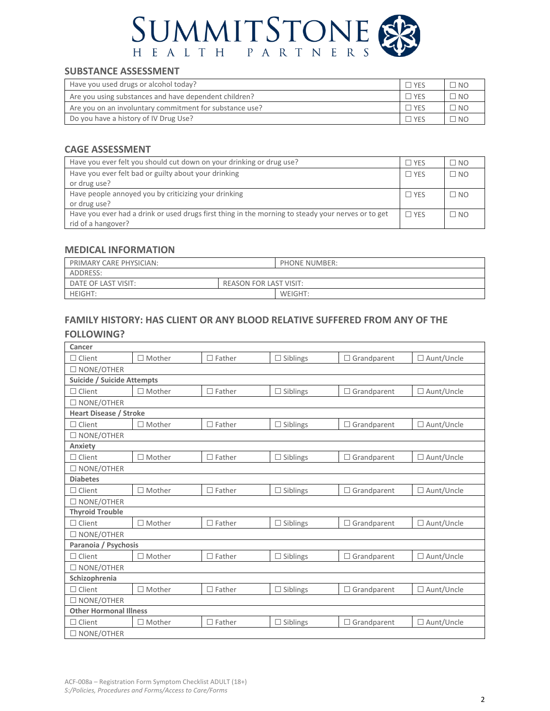

## **SUBSTANCE ASSESSMENT**

| Have you used drugs or alcohol today?                   | $\square$ Yes   | $\Box$ NO |
|---------------------------------------------------------|-----------------|-----------|
| Are you using substances and have dependent children?   | $\sqsupset$ YES | $\Box$ NO |
| Are you on an involuntary commitment for substance use? | $\Box$ YES      | $\Box$ NO |
| Do you have a history of IV Drug Use?                   | $\sqsupset$ yes | $\Box$ NO |

## **CAGE ASSESSMENT**

| Have you ever felt you should cut down on your drinking or drug use?                               | $\square$ yes | $\Box$ NO    |
|----------------------------------------------------------------------------------------------------|---------------|--------------|
| Have you ever felt bad or guilty about your drinking                                               | $\Box$ YFS    | $\square$ NO |
| or drug use?                                                                                       |               |              |
| Have people annoyed you by criticizing your drinking                                               | $\Box$ YES    | $\square$ NO |
| or drug use?                                                                                       |               |              |
| Have you ever had a drink or used drugs first thing in the morning to steady your nerves or to get | $\Box$ YES    | $\square$ NO |
| rid of a hangover?                                                                                 |               |              |

## **MEDICAL INFORMATION**

| PRIMARY CARE PHYSICIAN:                              |  | <b>PHONE NUMBER:</b> |
|------------------------------------------------------|--|----------------------|
| ADDRESS:                                             |  |                      |
| DATE OF LAST VISIT:<br><b>REASON FOR LAST VISIT:</b> |  |                      |
| <b>HEIGHT:</b>                                       |  | WEIGHT:              |

## **FAMILY HISTORY: HAS CLIENT OR ANY BLOOD RELATIVE SUFFERED FROM ANY OF THE**

### **FOLLOWING?**

| Cancer                        |               |               |                 |                    |                   |  |
|-------------------------------|---------------|---------------|-----------------|--------------------|-------------------|--|
| Client                        | $\Box$ Mother | $\Box$ Father | $\Box$ Siblings | $\Box$ Grandparent | $\Box$ Aunt/Uncle |  |
| $\square$ NONE/OTHER          |               |               |                 |                    |                   |  |
| Suicide / Suicide Attempts    |               |               |                 |                    |                   |  |
| Client                        | Mother        | $\Box$ Father | $\Box$ Siblings | $\Box$ Grandparent | $\Box$ Aunt/Uncle |  |
| $\square$ NONE/OTHER          |               |               |                 |                    |                   |  |
| <b>Heart Disease / Stroke</b> |               |               |                 |                    |                   |  |
| $\Box$ Client                 | $\Box$ Mother | $\Box$ Father | $\Box$ Siblings | $\Box$ Grandparent | $\Box$ Aunt/Uncle |  |
| $\square$ NONE/OTHER          |               |               |                 |                    |                   |  |
| Anxiety                       |               |               |                 |                    |                   |  |
| $\Box$ Client                 | $\Box$ Mother | $\Box$ Father | $\Box$ Siblings | $\Box$ Grandparent | $\Box$ Aunt/Uncle |  |
| NONE/OTHER                    |               |               |                 |                    |                   |  |
| <b>Diabetes</b>               |               |               |                 |                    |                   |  |
| $\Box$ Client                 | $\Box$ Mother | $\Box$ Father | $\Box$ Siblings | $\Box$ Grandparent | □ Aunt/Uncle      |  |
| $\square$ NONE/OTHER          |               |               |                 |                    |                   |  |
| <b>Thyroid Trouble</b>        |               |               |                 |                    |                   |  |
| $\Box$ Client                 | $\Box$ Mother | $\Box$ Father | $\Box$ Siblings | $\Box$ Grandparent | $\Box$ Aunt/Uncle |  |
| $\square$ NONE/OTHER          |               |               |                 |                    |                   |  |
| Paranoia / Psychosis          |               |               |                 |                    |                   |  |
| Client<br>$\mathsf{L}$        | $\Box$ Mother | $\Box$ Father | $\Box$ Siblings | $\Box$ Grandparent | $\Box$ Aunt/Uncle |  |
| $\square$ NONE/OTHER          |               |               |                 |                    |                   |  |
| Schizophrenia                 |               |               |                 |                    |                   |  |
| Client                        | $\Box$ Mother | $\Box$ Father | $\Box$ Siblings | $\Box$ Grandparent | $\Box$ Aunt/Uncle |  |
| $\square$ NONE/OTHER          |               |               |                 |                    |                   |  |
| <b>Other Hormonal Illness</b> |               |               |                 |                    |                   |  |
| Client                        | Mother        | $\Box$ Father | $\Box$ Siblings | $\Box$ Grandparent | $\Box$ Aunt/Uncle |  |
| $\square$ NONE/OTHER          |               |               |                 |                    |                   |  |